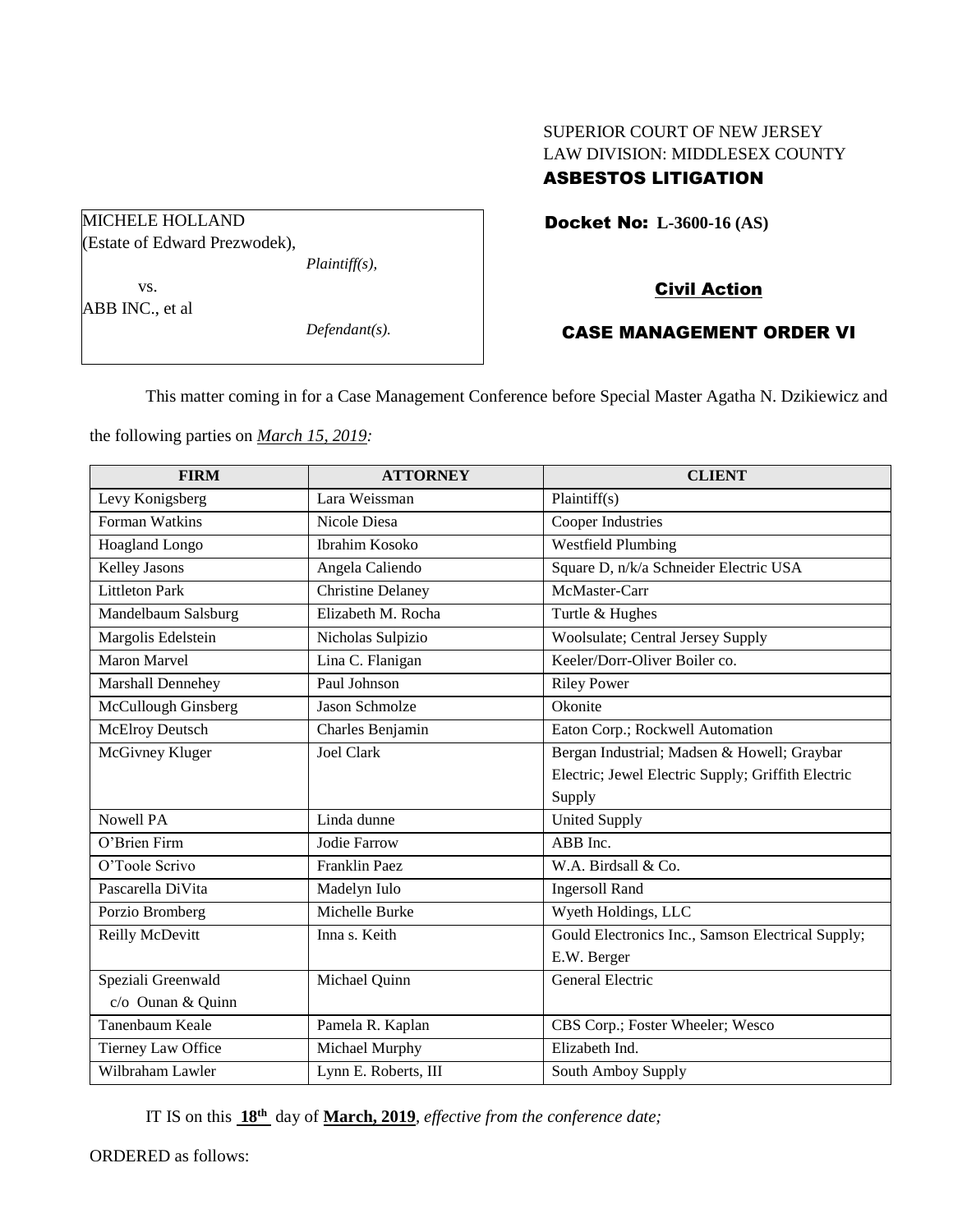# SUPERIOR COURT OF NEW JERSEY LAW DIVISION: MIDDLESEX COUNTY

# ASBESTOS LITIGATION

Docket No: **L-3600-16 (AS)** 

## Civil Action

## CASE MANAGEMENT ORDER VI

This matter coming in for a Case Management Conference before Special Master Agatha N. Dzikiewicz and

the following parties on *March 15, 2019:*

| <b>FIRM</b>                | <b>ATTORNEY</b>          | <b>CLIENT</b>                                      |
|----------------------------|--------------------------|----------------------------------------------------|
| Levy Konigsberg            | Lara Weissman            | Plaintiff(s)                                       |
| Forman Watkins             | Nicole Diesa             | Cooper Industries                                  |
| <b>Hoagland Longo</b>      | <b>Ibrahim Kosoko</b>    | <b>Westfield Plumbing</b>                          |
| Kelley Jasons              | Angela Caliendo          | Square D, n/k/a Schneider Electric USA             |
| <b>Littleton Park</b>      | <b>Christine Delaney</b> | McMaster-Carr                                      |
| Mandelbaum Salsburg        | Elizabeth M. Rocha       | Turtle & Hughes                                    |
| Margolis Edelstein         | Nicholas Sulpizio        | <b>Woolsulate</b> ; Central Jersey Supply          |
| <b>Maron Marvel</b>        | Lina C. Flanigan         | Keeler/Dorr-Oliver Boiler co.                      |
| Marshall Dennehey          | Paul Johnson             | <b>Riley Power</b>                                 |
| McCullough Ginsberg        | <b>Jason Schmolze</b>    | Okonite                                            |
| <b>McElroy Deutsch</b>     | Charles Benjamin         | Eaton Corp.; Rockwell Automation                   |
| McGivney Kluger            | <b>Joel Clark</b>        | Bergan Industrial; Madsen & Howell; Graybar        |
|                            |                          | Electric; Jewel Electric Supply; Griffith Electric |
|                            |                          | Supply                                             |
| <b>Nowell PA</b>           | Linda dunne              | <b>United Supply</b>                               |
| $\overline{O}$ 'Brien Firm | <b>Jodie Farrow</b>      | ABB Inc.                                           |
| O'Toole Scrivo             | <b>Franklin Paez</b>     | W.A. Birdsall & Co.                                |
| Pascarella DiVita          | Madelyn Iulo             | <b>Ingersoll Rand</b>                              |
| Porzio Bromberg            | Michelle Burke           | Wyeth Holdings, LLC                                |
| Reilly McDevitt            | Inna s. Keith            | Gould Electronics Inc., Samson Electrical Supply;  |
|                            |                          | E.W. Berger                                        |
| Speziali Greenwald         | Michael Quinn            | General Electric                                   |
| c/o Ounan & Quinn          |                          |                                                    |
| Tanenbaum Keale            | Pamela R. Kaplan         | CBS Corp.; Foster Wheeler; Wesco                   |
| Tierney Law Office         | Michael Murphy           | Elizabeth Ind.                                     |
| Wilbraham Lawler           | Lynn E. Roberts, III     | South Amboy Supply                                 |

IT IS on this  $18^{th}$  day of March, 2019, *effective from the conference date*;

ORDERED as follows:

MICHELE HOLLAND (Estate of Edward Prezwodek), *Plaintiff(s),*

vs. ABB INC., et al

*Defendant(s).*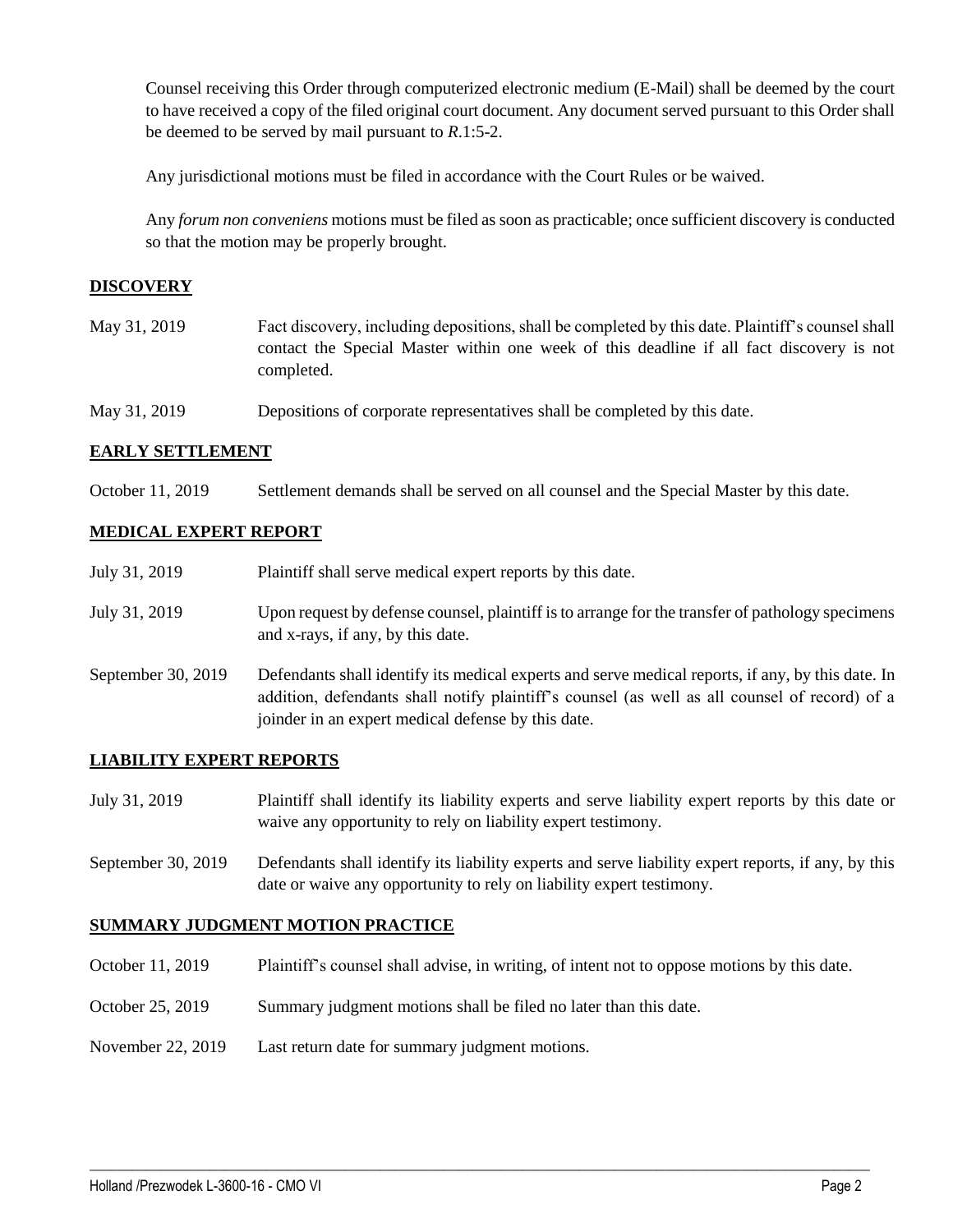Counsel receiving this Order through computerized electronic medium (E-Mail) shall be deemed by the court to have received a copy of the filed original court document. Any document served pursuant to this Order shall be deemed to be served by mail pursuant to *R*.1:5-2.

Any jurisdictional motions must be filed in accordance with the Court Rules or be waived.

Any *forum non conveniens* motions must be filed as soon as practicable; once sufficient discovery is conducted so that the motion may be properly brought.

## **DISCOVERY**

- May 31, 2019 Fact discovery, including depositions, shall be completed by this date. Plaintiff's counsel shall contact the Special Master within one week of this deadline if all fact discovery is not completed.
- May 31, 2019 Depositions of corporate representatives shall be completed by this date.

## **EARLY SETTLEMENT**

October 11, 2019 Settlement demands shall be served on all counsel and the Special Master by this date.

## **MEDICAL EXPERT REPORT**

| July 31, 2019      | Plaintiff shall serve medical expert reports by this date.                                                                                                                                                                                               |
|--------------------|----------------------------------------------------------------------------------------------------------------------------------------------------------------------------------------------------------------------------------------------------------|
| July 31, 2019      | Upon request by defense counsel, plaintiff is to arrange for the transfer of pathology specimens<br>and x-rays, if any, by this date.                                                                                                                    |
| September 30, 2019 | Defendants shall identify its medical experts and serve medical reports, if any, by this date. In<br>addition, defendants shall notify plaintiff's counsel (as well as all counsel of record) of a<br>joinder in an expert medical defense by this date. |

## **LIABILITY EXPERT REPORTS**

- July 31, 2019 Plaintiff shall identify its liability experts and serve liability expert reports by this date or waive any opportunity to rely on liability expert testimony.
- September 30, 2019 Defendants shall identify its liability experts and serve liability expert reports, if any, by this date or waive any opportunity to rely on liability expert testimony.

## **SUMMARY JUDGMENT MOTION PRACTICE**

October 11, 2019 Plaintiff's counsel shall advise, in writing, of intent not to oppose motions by this date.

 $\_$  ,  $\_$  ,  $\_$  ,  $\_$  ,  $\_$  ,  $\_$  ,  $\_$  ,  $\_$  ,  $\_$  ,  $\_$  ,  $\_$  ,  $\_$  ,  $\_$  ,  $\_$  ,  $\_$  ,  $\_$  ,  $\_$  ,  $\_$  ,  $\_$  ,  $\_$  ,  $\_$  ,  $\_$  ,  $\_$  ,  $\_$  ,  $\_$  ,  $\_$  ,  $\_$  ,  $\_$  ,  $\_$  ,  $\_$  ,  $\_$  ,  $\_$  ,  $\_$  ,  $\_$  ,  $\_$  ,  $\_$  ,  $\_$  ,

- October 25, 2019 Summary judgment motions shall be filed no later than this date.
- November 22, 2019 Last return date for summary judgment motions.